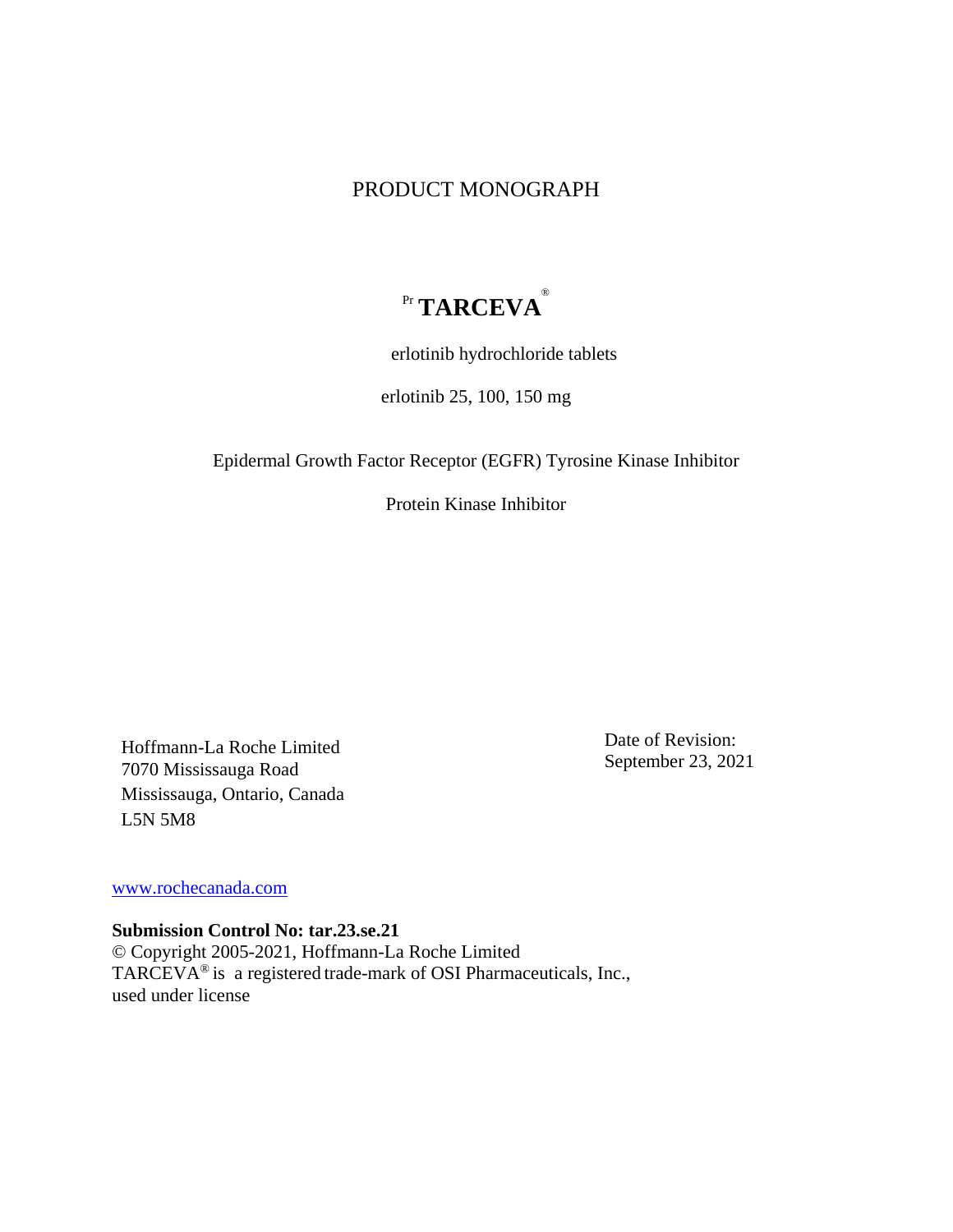# PRODUCT MONOGRAPH



# erlotinib hydrochloride tablets

erlotinib 25, 100, 150 mg

Epidermal Growth Factor Receptor (EGFR) Tyrosine Kinase Inhibitor

Protein Kinase Inhibitor

Hoffmann-La Roche Limited 7070 Mississauga Road Mississauga, Ontario, Canada L5N 5M8

Date of Revision: September 23, 2021

[www.rochecanada.com](http://www.rochecanada.com/)

# **Submission Control No: tar.23.se.21**

© Copyright 2005-2021, Hoffmann-La Roche Limited TARCEVA® is a registered trade-mark of OSI Pharmaceuticals, Inc., used under license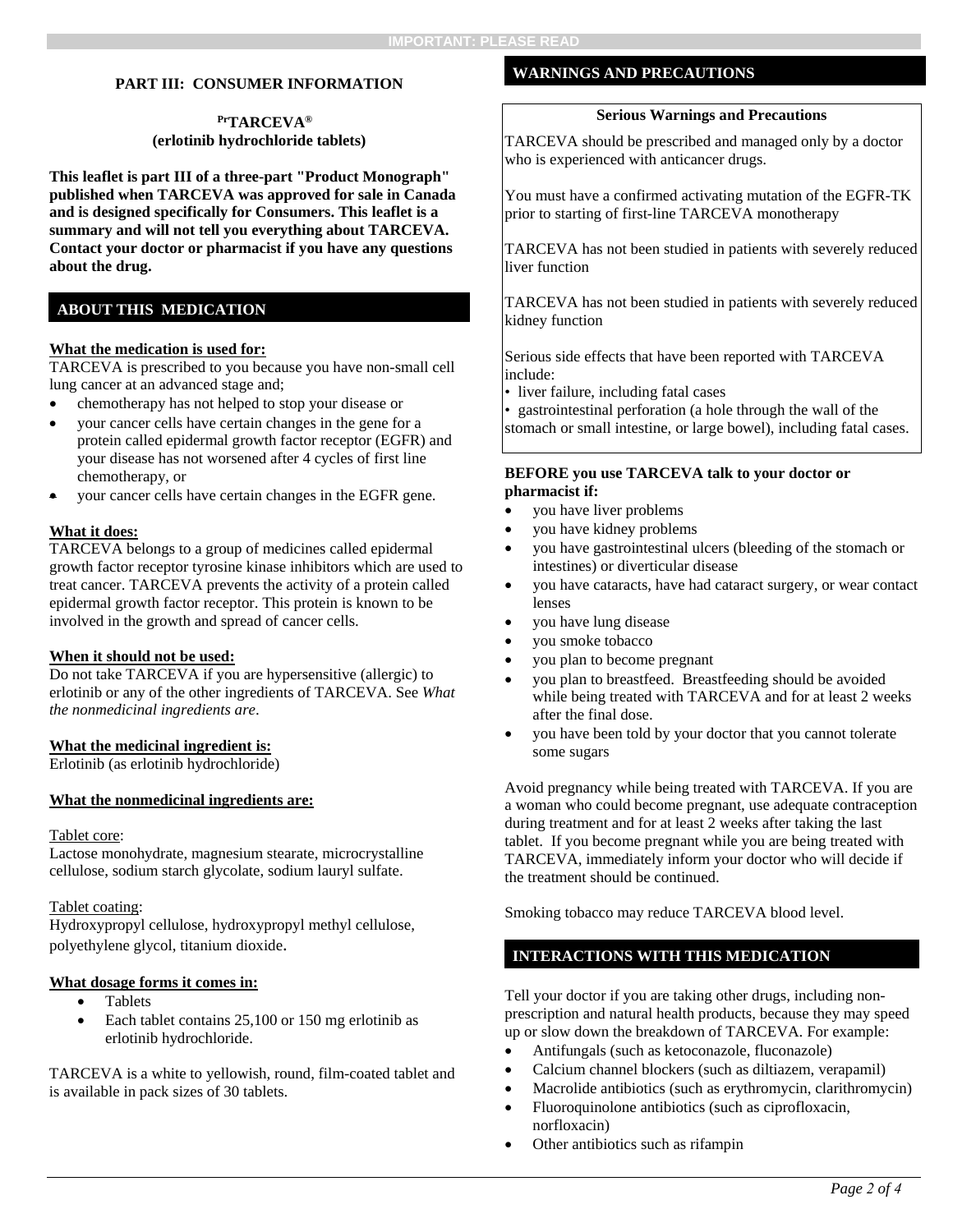### **PART III: CONSUMER INFORMATION**

### **PrTARCEVA® (erlotinib hydrochloride tablets)**

**This leaflet is part III of a three-part "Product Monograph" published when TARCEVA was approved for sale in Canada and is designed specifically for Consumers. This leaflet is a summary and will not tell you everything about TARCEVA. Contact your doctor or pharmacist if you have any questions about the drug.** 

# **ABOUT THIS MEDICATION**

### **What the medication is used for:**

TARCEVA is prescribed to you because you have non-small cell lung cancer at an advanced stage and;

- chemotherapy has not helped to stop your disease or
- your cancer cells have certain changes in the gene for a protein called epidermal growth factor receptor (EGFR) and your disease has not worsened after 4 cycles of first line chemotherapy, or
- your cancer cells have certain changes in the EGFR gene.

#### **What it does:**

TARCEVA belongs to a group of medicines called epidermal growth factor receptor tyrosine kinase inhibitors which are used to treat cancer. TARCEVA prevents the activity of a protein called epidermal growth factor receptor. This protein is known to be involved in the growth and spread of cancer cells.

#### **When it should not be used:**

Do not take TARCEVA if you are hypersensitive (allergic) to erlotinib or any of the other ingredients of TARCEVA. See *What the nonmedicinal ingredients are*.

#### **What the medicinal ingredient is:**

Erlotinib (as erlotinib hydrochloride)

#### **What the nonmedicinal ingredients are:**

#### Tablet core:

Lactose monohydrate, magnesium stearate, microcrystalline cellulose, sodium starch glycolate, sodium lauryl sulfate.

#### Tablet coating:

Hydroxypropyl cellulose, hydroxypropyl methyl cellulose, polyethylene glycol, titanium dioxide.

#### **What dosage forms it comes in:**

- Tablets
- Each tablet contains 25,100 or 150 mg erlotinib as erlotinib hydrochloride.

TARCEVA is a white to yellowish, round, film-coated tablet and is available in pack sizes of 30 tablets.

# **WARNINGS AND PRECAUTIONS**

#### **Serious Warnings and Precautions**

TARCEVA should be prescribed and managed only by a doctor who is experienced with anticancer drugs.

You must have a confirmed activating mutation of the EGFR-TK prior to starting of first-line TARCEVA monotherapy

TARCEVA has not been studied in patients with severely reduced liver function

TARCEVA has not been studied in patients with severely reduced kidney function

Serious side effects that have been reported with TARCEVA include:

• liver failure, including fatal cases

• gastrointestinal perforation (a hole through the wall of the stomach or small intestine, or large bowel), including fatal cases.

### **BEFORE you use TARCEVA talk to your doctor or pharmacist if:**

- you have liver problems
- you have kidney problems
- you have gastrointestinal ulcers (bleeding of the stomach or intestines) or diverticular disease
- you have cataracts, have had cataract surgery, or wear contact lenses
- you have lung disease
- you smoke tobacco
- you plan to become pregnant
- you plan to breastfeed. Breastfeeding should be avoided while being treated with TARCEVA and for at least 2 weeks after the final dose.
- you have been told by your doctor that you cannot tolerate some sugars

Avoid pregnancy while being treated with TARCEVA. If you are a woman who could become pregnant, use adequate contraception during treatment and for at least 2 weeks after taking the last tablet. If you become pregnant while you are being treated with TARCEVA, immediately inform your doctor who will decide if the treatment should be continued.

Smoking tobacco may reduce TARCEVA blood level.

### **INTERACTIONS WITH THIS MEDICATION**

Tell your doctor if you are taking other drugs, including nonprescription and natural health products, because they may speed up or slow down the breakdown of TARCEVA. For example:

- Antifungals (such as ketoconazole, fluconazole)
- Calcium channel blockers (such as diltiazem, verapamil)
- Macrolide antibiotics (such as erythromycin, clarithromycin)
- Fluoroquinolone antibiotics (such as ciprofloxacin, norfloxacin)
- Other antibiotics such as rifampin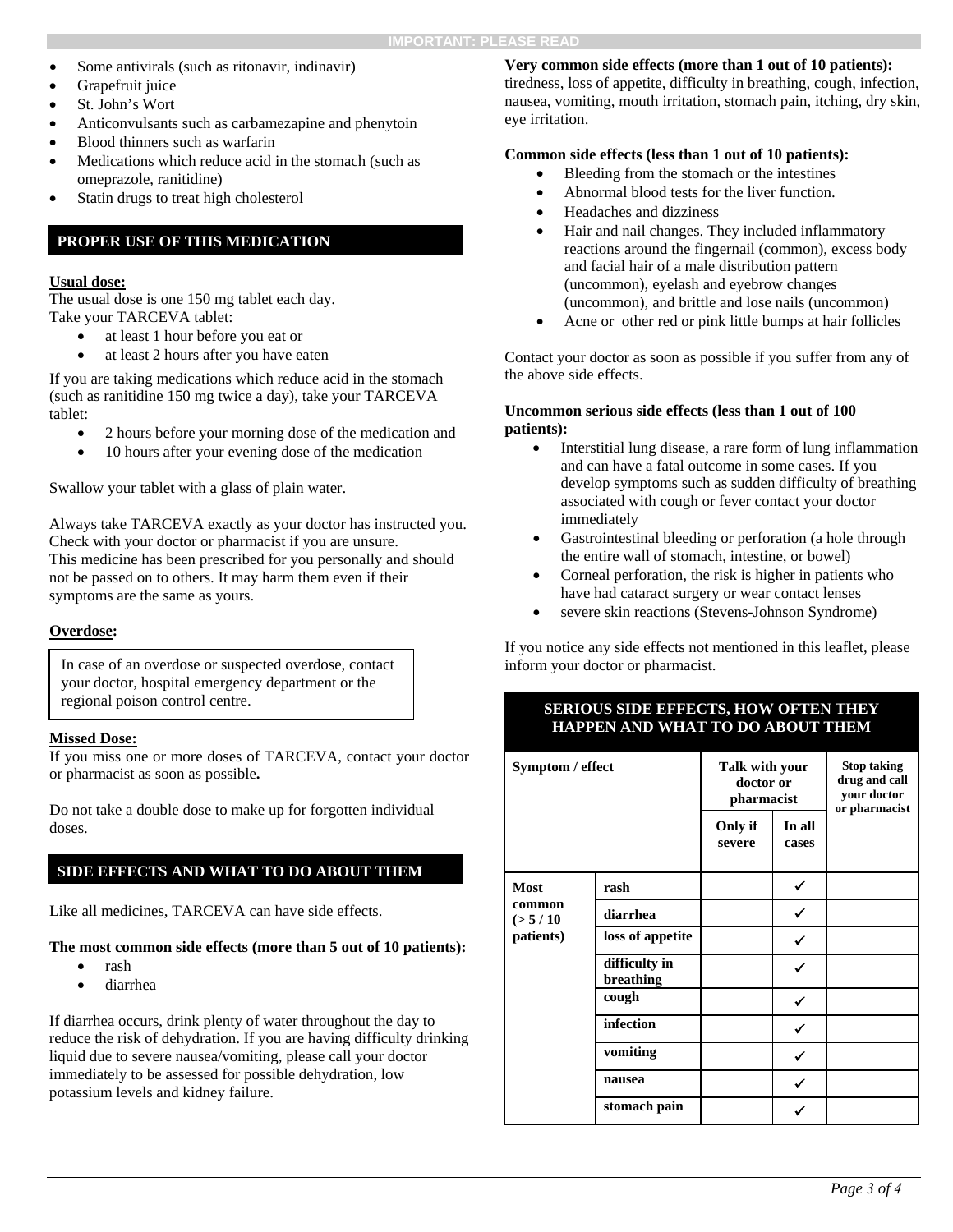- Some antivirals (such as ritonavir, indinavir)
- Grapefruit juice
- St. John's Wort
- Anticonvulsants such as carbamezapine and phenytoin
- Blood thinners such as warfarin
- Medications which reduce acid in the stomach (such as omeprazole, ranitidine)
- Statin drugs to treat high cholesterol

## **PROPER USE OF THIS MEDICATION**

# **Usual dose:**

The usual dose is one 150 mg tablet each day. Take your TARCEVA tablet:

- at least 1 hour before you eat or
- at least 2 hours after you have eaten

If you are taking medications which reduce acid in the stomach (such as ranitidine 150 mg twice a day), take your TARCEVA tablet:

- 2 hours before your morning dose of the medication and
- 10 hours after your evening dose of the medication

Swallow your tablet with a glass of plain water.

Always take TARCEVA exactly as your doctor has instructed you. Check with your doctor or pharmacist if you are unsure. This medicine has been prescribed for you personally and should not be passed on to others. It may harm them even if their symptoms are the same as yours.

#### **Overdose:**

In case of an overdose or suspected overdose, contact your doctor, hospital emergency department or the regional poison control centre.

### **Missed Dose:**

If you miss one or more doses of TARCEVA, contact your doctor or pharmacist as soon as possible**.** 

Do not take a double dose to make up for forgotten individual doses.

# **SIDE EFFECTS AND WHAT TO DO ABOUT THEM**

Like all medicines, TARCEVA can have side effects.

### **The most common side effects (more than 5 out of 10 patients):**

- rash
- diarrhea

If diarrhea occurs, drink plenty of water throughout the day to reduce the risk of dehydration. If you are having difficulty drinking liquid due to severe nausea/vomiting, please call your doctor immediately to be assessed for possible dehydration, low potassium levels and kidney failure.

#### **Very common side effects (more than 1 out of 10 patients):**

tiredness, loss of appetite, difficulty in breathing, cough, infection, nausea, vomiting, mouth irritation, stomach pain, itching, dry skin, eye irritation.

### **Common side effects (less than 1 out of 10 patients):**

- Bleeding from the stomach or the intestines
- Abnormal blood tests for the liver function.
- Headaches and dizziness
- Hair and nail changes. They included inflammatory reactions around the fingernail (common), excess body and facial hair of a male distribution pattern (uncommon), eyelash and eyebrow changes (uncommon), and brittle and lose nails (uncommon)
- Acne or other red or pink little bumps at hair follicles

Contact your doctor as soon as possible if you suffer from any of the above side effects.

### **Uncommon serious side effects (less than 1 out of 100 patients):**

- Interstitial lung disease, a rare form of lung inflammation and can have a fatal outcome in some cases. If you develop symptoms such as sudden difficulty of breathing associated with cough or fever contact your doctor immediately
- Gastrointestinal bleeding or perforation (a hole through the entire wall of stomach, intestine, or bowel)
- Corneal perforation, the risk is higher in patients who have had cataract surgery or wear contact lenses
- severe skin reactions (Stevens-Johnson Syndrome)

If you notice any side effects not mentioned in this leaflet, please inform your doctor or pharmacist.

# **SERIOUS SIDE EFFECTS, HOW OFTEN THEY HAPPEN AND WHAT TO DO ABOUT THEM**

| Symptom / effect                                 |                            | Talk with your<br>doctor or<br>pharmacist |                 | <b>Stop taking</b><br>drug and call<br>your doctor<br>or pharmacist |
|--------------------------------------------------|----------------------------|-------------------------------------------|-----------------|---------------------------------------------------------------------|
|                                                  |                            | Only if<br>severe                         | In all<br>cases |                                                                     |
| <b>Most</b><br>common<br>(> 5 / 10)<br>patients) | rash                       |                                           |                 |                                                                     |
|                                                  | diarrhea                   |                                           |                 |                                                                     |
|                                                  | loss of appetite           |                                           |                 |                                                                     |
|                                                  | difficulty in<br>breathing |                                           |                 |                                                                     |
|                                                  | cough                      |                                           |                 |                                                                     |
|                                                  | infection                  |                                           |                 |                                                                     |
|                                                  | vomiting                   |                                           |                 |                                                                     |
|                                                  | nausea                     |                                           |                 |                                                                     |
|                                                  | stomach pain               |                                           |                 |                                                                     |